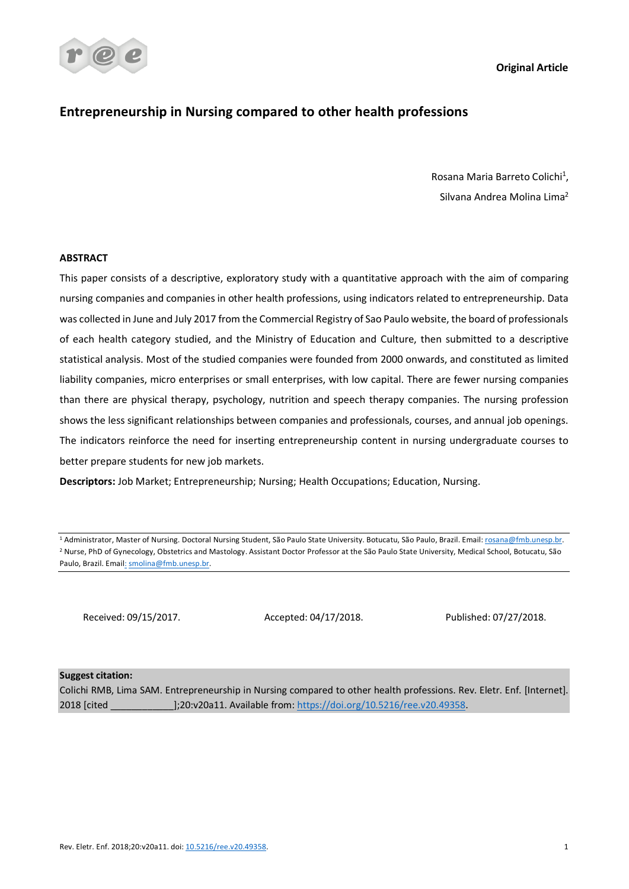**Original Article**



# **Entrepreneurship in Nursing compared to other health professions**

Rosana Maria Barreto Colichi<sup>1</sup>, Silvana Andrea Molina Lima2

# **ABSTRACT**

This paper consists of a descriptive, exploratory study with a quantitative approach with the aim of comparing nursing companies and companies in other health professions, using indicators related to entrepreneurship. Data was collected in June and July 2017 from the Commercial Registry of Sao Paulo website, the board of professionals of each health category studied, and the Ministry of Education and Culture, then submitted to a descriptive statistical analysis. Most of the studied companies were founded from 2000 onwards, and constituted as limited liability companies, micro enterprises or small enterprises, with low capital. There are fewer nursing companies than there are physical therapy, psychology, nutrition and speech therapy companies. The nursing profession shows the less significant relationships between companies and professionals, courses, and annual job openings. The indicators reinforce the need for inserting entrepreneurship content in nursing undergraduate courses to better prepare students for new job markets.

**Descriptors:** Job Market; Entrepreneurship; Nursing; Health Occupations; Education, Nursing.

Received: 09/15/2017. Accepted: 04/17/2018. Published: 07/27/2018.

#### **Suggest citation:**

Colichi RMB, Lima SAM. Entrepreneurship in Nursing compared to other health professions. Rev. Eletr. Enf. [Internet]. 2018 [cited \_\_\_\_\_\_\_\_\_\_\_\_];20:v20a11. Available from: https://doi.org/10.5216/ree.v20.49358.

<sup>&</sup>lt;sup>1</sup> Administrator, Master of Nursing. Doctoral Nursing Student, São Paulo State University. Botucatu, São Paulo, Brazil. Email: rosana@fmb.unesp.br. <sup>2</sup> Nurse, PhD of Gynecology, Obstetrics and Mastology. Assistant Doctor Professor at the São Paulo State University, Medical School, Botucatu, São Paulo, Brazil. Email: smolina@fmb.unesp.br.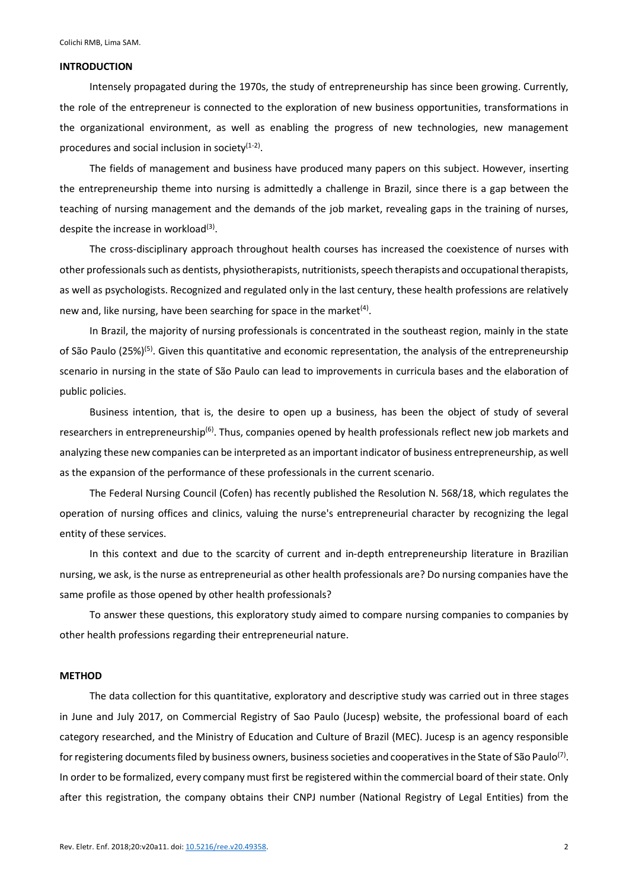#### **INTRODUCTION**

Intensely propagated during the 1970s, the study of entrepreneurship has since been growing. Currently, the role of the entrepreneur is connected to the exploration of new business opportunities, transformations in the organizational environment, as well as enabling the progress of new technologies, new management procedures and social inclusion in society $(1-2)$ .

The fields of management and business have produced many papers on this subject. However, inserting the entrepreneurship theme into nursing is admittedly a challenge in Brazil, since there is a gap between the teaching of nursing management and the demands of the job market, revealing gaps in the training of nurses, despite the increase in workload $(3)$ .

The cross-disciplinary approach throughout health courses has increased the coexistence of nurses with other professionals such as dentists, physiotherapists, nutritionists, speech therapists and occupational therapists, as well as psychologists. Recognized and regulated only in the last century, these health professions are relatively new and, like nursing, have been searching for space in the market $(4)$ .

In Brazil, the majority of nursing professionals is concentrated in the southeast region, mainly in the state of São Paulo (25%)<sup>(5)</sup>. Given this quantitative and economic representation, the analysis of the entrepreneurship scenario in nursing in the state of São Paulo can lead to improvements in curricula bases and the elaboration of public policies.

Business intention, that is, the desire to open up a business, has been the object of study of several researchers in entrepreneurship<sup>(6)</sup>. Thus, companies opened by health professionals reflect new job markets and analyzing these new companies can be interpreted as an important indicator of business entrepreneurship, as well as the expansion of the performance of these professionals in the current scenario.

The Federal Nursing Council (Cofen) has recently published the Resolution N. 568/18, which regulates the operation of nursing offices and clinics, valuing the nurse's entrepreneurial character by recognizing the legal entity of these services.

In this context and due to the scarcity of current and in-depth entrepreneurship literature in Brazilian nursing, we ask, is the nurse as entrepreneurial as other health professionals are? Do nursing companies have the same profile as those opened by other health professionals?

To answer these questions, this exploratory study aimed to compare nursing companies to companies by other health professions regarding their entrepreneurial nature.

# **METHOD**

The data collection for this quantitative, exploratory and descriptive study was carried out in three stages in June and July 2017, on Commercial Registry of Sao Paulo (Jucesp) website, the professional board of each category researched, and the Ministry of Education and Culture of Brazil (MEC). Jucesp is an agency responsible for registering documents filed by business owners, business societies and cooperatives in the State of São Paulo<sup>(7)</sup>. In order to be formalized, every company must first be registered within the commercial board of their state. Only after this registration, the company obtains their CNPJ number (National Registry of Legal Entities) from the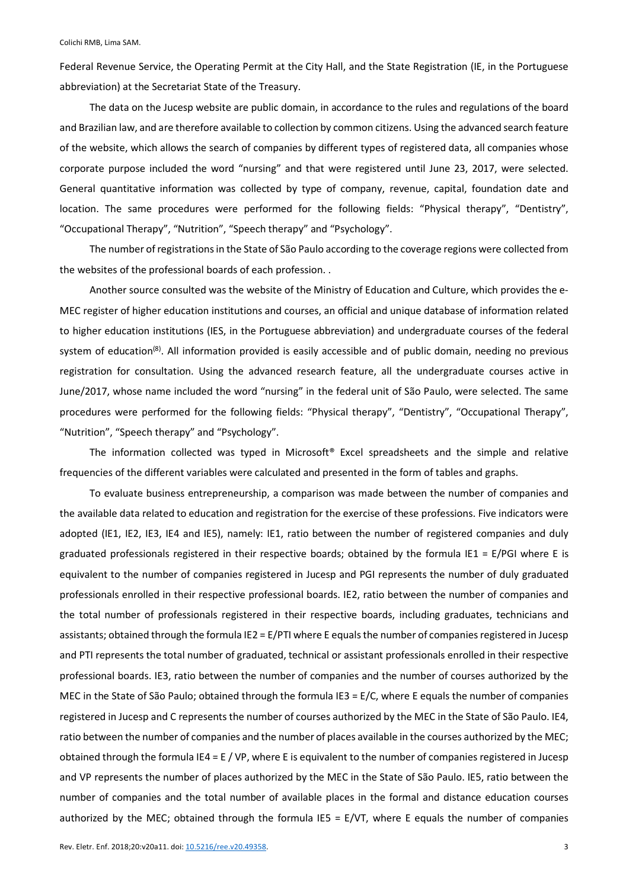Federal Revenue Service, the Operating Permit at the City Hall, and the State Registration (IE, in the Portuguese abbreviation) at the Secretariat State of the Treasury.

The data on the Jucesp website are public domain, in accordance to the rules and regulations of the board and Brazilian law, and are therefore available to collection by common citizens. Using the advanced search feature of the website, which allows the search of companies by different types of registered data, all companies whose corporate purpose included the word "nursing" and that were registered until June 23, 2017, were selected. General quantitative information was collected by type of company, revenue, capital, foundation date and location. The same procedures were performed for the following fields: "Physical therapy", "Dentistry", "Occupational Therapy", "Nutrition", "Speech therapy" and "Psychology".

The number of registrations in the State of São Paulo according to the coverage regions were collected from the websites of the professional boards of each profession. .

Another source consulted was the website of the Ministry of Education and Culture, which provides the e-MEC register of higher education institutions and courses, an official and unique database of information related to higher education institutions (IES, in the Portuguese abbreviation) and undergraduate courses of the federal system of education<sup>(8)</sup>. All information provided is easily accessible and of public domain, needing no previous registration for consultation. Using the advanced research feature, all the undergraduate courses active in June/2017, whose name included the word "nursing" in the federal unit of São Paulo, were selected. The same procedures were performed for the following fields: "Physical therapy", "Dentistry", "Occupational Therapy", "Nutrition", "Speech therapy" and "Psychology".

The information collected was typed in Microsoft® Excel spreadsheets and the simple and relative frequencies of the different variables were calculated and presented in the form of tables and graphs.

To evaluate business entrepreneurship, a comparison was made between the number of companies and the available data related to education and registration for the exercise of these professions. Five indicators were adopted (IE1, IE2, IE3, IE4 and IE5), namely: IE1, ratio between the number of registered companies and duly graduated professionals registered in their respective boards; obtained by the formula IE1 = E/PGI where E is equivalent to the number of companies registered in Jucesp and PGI represents the number of duly graduated professionals enrolled in their respective professional boards. IE2, ratio between the number of companies and the total number of professionals registered in their respective boards, including graduates, technicians and assistants; obtained through the formula IE2 = E/PTI where E equals the number of companies registered in Jucesp and PTI represents the total number of graduated, technical or assistant professionals enrolled in their respective professional boards. IE3, ratio between the number of companies and the number of courses authorized by the MEC in the State of São Paulo; obtained through the formula IE3 = E/C, where E equals the number of companies registered in Jucesp and C represents the number of courses authorized by the MEC in the State of São Paulo. IE4, ratio between the number of companies and the number of places available in the courses authorized by the MEC; obtained through the formula IE4 = E / VP, where E is equivalent to the number of companies registered in Jucesp and VP represents the number of places authorized by the MEC in the State of São Paulo. IE5, ratio between the number of companies and the total number of available places in the formal and distance education courses authorized by the MEC; obtained through the formula IE5 = E/VT, where E equals the number of companies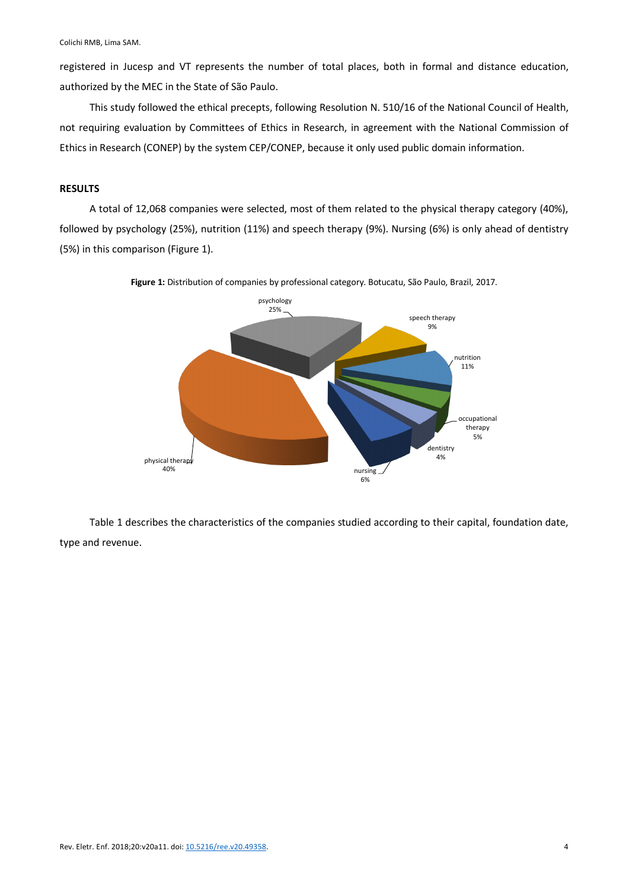registered in Jucesp and VT represents the number of total places, both in formal and distance education, authorized by the MEC in the State of São Paulo.

This study followed the ethical precepts, following Resolution N. 510/16 of the National Council of Health, not requiring evaluation by Committees of Ethics in Research, in agreement with the National Commission of Ethics in Research (CONEP) by the system CEP/CONEP, because it only used public domain information.

## **RESULTS**

A total of 12,068 companies were selected, most of them related to the physical therapy category (40%), followed by psychology (25%), nutrition (11%) and speech therapy (9%). Nursing (6%) is only ahead of dentistry (5%) in this comparison (Figure 1).



**Figure 1:** Distribution of companies by professional category. Botucatu, São Paulo, Brazil, 2017.

Table 1 describes the characteristics of the companies studied according to their capital, foundation date, type and revenue.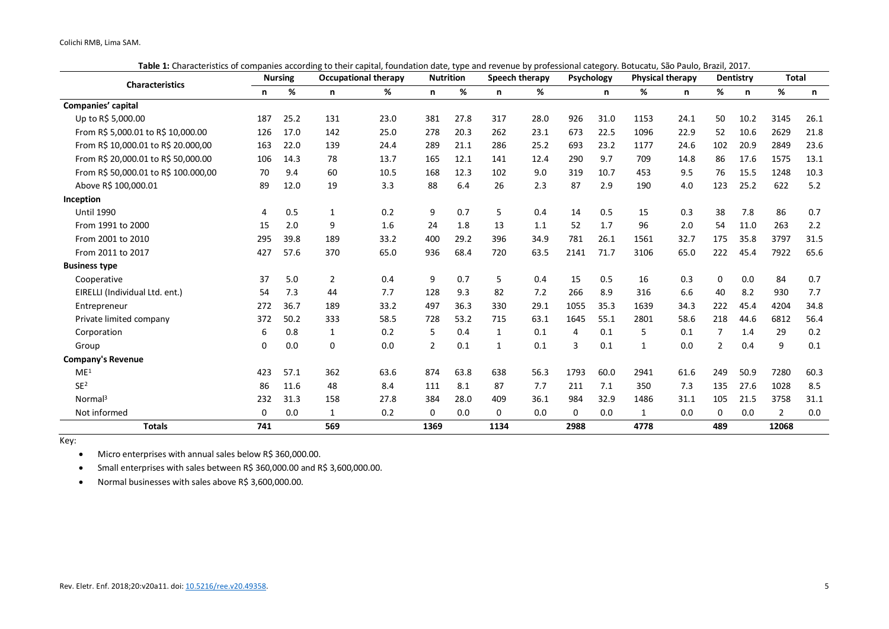**Table 1:** Characteristics of companies according to their capital, foundation date, type and revenue by professional category. Botucatu, São Paulo, Brazil, 2017.

| <b>Characteristics</b>               | <b>Nursing</b> |      | <b>Occupational therapy</b> |      | <b>Nutrition</b> |      | <b>Speech therapy</b> |      | <b>Psychology</b> |      | <b>Physical therapy</b> |      | <b>Dentistry</b> |      | <b>Total</b>   |       |
|--------------------------------------|----------------|------|-----------------------------|------|------------------|------|-----------------------|------|-------------------|------|-------------------------|------|------------------|------|----------------|-------|
|                                      | n              | %    | n                           | %    | n                | %    | n                     | %    |                   | n    | %                       | n    | %                | n    | %              | n.    |
| Companies' capital                   |                |      |                             |      |                  |      |                       |      |                   |      |                         |      |                  |      |                |       |
| Up to R\$ 5,000.00                   | 187            | 25.2 | 131                         | 23.0 | 381              | 27.8 | 317                   | 28.0 | 926               | 31.0 | 1153                    | 24.1 | 50               | 10.2 | 3145           | 26.1  |
| From R\$ 5,000.01 to R\$ 10,000.00   | 126            | 17.0 | 142                         | 25.0 | 278              | 20.3 | 262                   | 23.1 | 673               | 22.5 | 1096                    | 22.9 | 52               | 10.6 | 2629           | 21.8  |
| From R\$ 10,000.01 to R\$ 20.000,00  | 163            | 22.0 | 139                         | 24.4 | 289              | 21.1 | 286                   | 25.2 | 693               | 23.2 | 1177                    | 24.6 | 102              | 20.9 | 2849           | 23.6  |
| From R\$ 20,000.01 to R\$ 50,000.00  | 106            | 14.3 | 78                          | 13.7 | 165              | 12.1 | 141                   | 12.4 | 290               | 9.7  | 709                     | 14.8 | 86               | 17.6 | 1575           | 13.1  |
| From R\$ 50,000.01 to R\$ 100.000,00 | 70             | 9.4  | 60                          | 10.5 | 168              | 12.3 | 102                   | 9.0  | 319               | 10.7 | 453                     | 9.5  | 76               | 15.5 | 1248           | 10.3  |
| Above R\$ 100,000.01                 | 89             | 12.0 | 19                          | 3.3  | 88               | 6.4  | 26                    | 2.3  | 87                | 2.9  | 190                     | 4.0  | 123              | 25.2 | 622            | $5.2$ |
| Inception                            |                |      |                             |      |                  |      |                       |      |                   |      |                         |      |                  |      |                |       |
| <b>Until 1990</b>                    | 4              | 0.5  | $\mathbf{1}$                | 0.2  | 9                | 0.7  | 5                     | 0.4  | 14                | 0.5  | 15                      | 0.3  | 38               | 7.8  | 86             | 0.7   |
| From 1991 to 2000                    | 15             | 2.0  | 9                           | 1.6  | 24               | 1.8  | 13                    | 1.1  | 52                | 1.7  | 96                      | 2.0  | 54               | 11.0 | 263            | 2.2   |
| From 2001 to 2010                    | 295            | 39.8 | 189                         | 33.2 | 400              | 29.2 | 396                   | 34.9 | 781               | 26.1 | 1561                    | 32.7 | 175              | 35.8 | 3797           | 31.5  |
| From 2011 to 2017                    | 427            | 57.6 | 370                         | 65.0 | 936              | 68.4 | 720                   | 63.5 | 2141              | 71.7 | 3106                    | 65.0 | 222              | 45.4 | 7922           | 65.6  |
| <b>Business type</b>                 |                |      |                             |      |                  |      |                       |      |                   |      |                         |      |                  |      |                |       |
| Cooperative                          | 37             | 5.0  | 2                           | 0.4  | 9                | 0.7  | 5                     | 0.4  | 15                | 0.5  | 16                      | 0.3  | 0                | 0.0  | 84             | 0.7   |
| EIRELLI (Individual Ltd. ent.)       | 54             | 7.3  | 44                          | 7.7  | 128              | 9.3  | 82                    | 7.2  | 266               | 8.9  | 316                     | 6.6  | 40               | 8.2  | 930            | 7.7   |
| Entrepreneur                         | 272            | 36.7 | 189                         | 33.2 | 497              | 36.3 | 330                   | 29.1 | 1055              | 35.3 | 1639                    | 34.3 | 222              | 45.4 | 4204           | 34.8  |
| Private limited company              | 372            | 50.2 | 333                         | 58.5 | 728              | 53.2 | 715                   | 63.1 | 1645              | 55.1 | 2801                    | 58.6 | 218              | 44.6 | 6812           | 56.4  |
| Corporation                          | 6              | 0.8  | 1                           | 0.2  | 5                | 0.4  | 1                     | 0.1  | 4                 | 0.1  | 5                       | 0.1  | $\overline{7}$   | 1.4  | 29             | 0.2   |
| Group                                | 0              | 0.0  | 0                           | 0.0  | $\overline{2}$   | 0.1  | 1                     | 0.1  | 3                 | 0.1  | $\mathbf{1}$            | 0.0  | $\overline{2}$   | 0.4  | 9              | 0.1   |
| <b>Company's Revenue</b>             |                |      |                             |      |                  |      |                       |      |                   |      |                         |      |                  |      |                |       |
| ME <sup>1</sup>                      | 423            | 57.1 | 362                         | 63.6 | 874              | 63.8 | 638                   | 56.3 | 1793              | 60.0 | 2941                    | 61.6 | 249              | 50.9 | 7280           | 60.3  |
| SE <sup>2</sup>                      | 86             | 11.6 | 48                          | 8.4  | 111              | 8.1  | 87                    | 7.7  | 211               | 7.1  | 350                     | 7.3  | 135              | 27.6 | 1028           | 8.5   |
| Normal <sup>3</sup>                  | 232            | 31.3 | 158                         | 27.8 | 384              | 28.0 | 409                   | 36.1 | 984               | 32.9 | 1486                    | 31.1 | 105              | 21.5 | 3758           | 31.1  |
| Not informed                         | 0              | 0.0  | 1                           | 0.2  | 0                | 0.0  | $\Omega$              | 0.0  | 0                 | 0.0  | 1                       | 0.0  | 0                | 0.0  | $\overline{2}$ | 0.0   |
| <b>Totals</b>                        | 741            |      | 569                         |      | 1369             |      | 1134                  |      | 2988              |      | 4778                    |      | 489              |      | 12068          |       |

Key:

• Micro enterprises with annual sales below R\$ 360,000.00.

• Small enterprises with sales between R\$ 360,000.00 and R\$ 3,600,000.00.

• Normal businesses with sales above R\$ 3,600,000.00.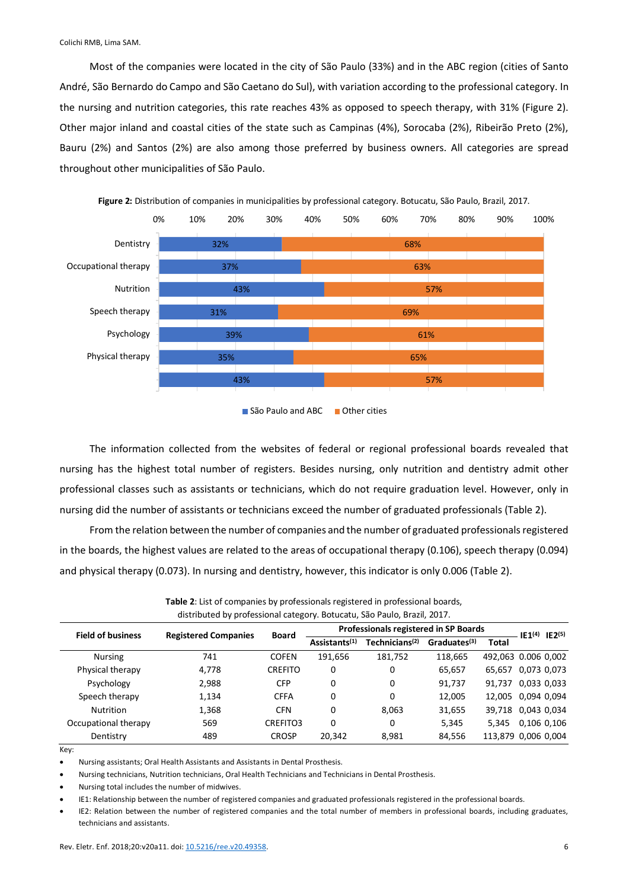Most of the companies were located in the city of São Paulo (33%) and in the ABC region (cities of Santo André, São Bernardo do Campo and São Caetano do Sul), with variation according to the professional category. In the nursing and nutrition categories, this rate reaches 43% as opposed to speech therapy, with 31% (Figure 2). Other major inland and coastal cities of the state such as Campinas (4%), Sorocaba (2%), Ribeirão Preto (2%), Bauru (2%) and Santos (2%) are also among those preferred by business owners. All categories are spread throughout other municipalities of São Paulo.



**Figure 2:** Distribution of companies in municipalities by professional category. Botucatu, São Paulo, Brazil, 2017.

São Paulo and ABC **Other cities** 

The information collected from the websites of federal or regional professional boards revealed that nursing has the highest total number of registers. Besides nursing, only nutrition and dentistry admit other professional classes such as assistants or technicians, which do not require graduation level. However, only in nursing did the number of assistants or technicians exceed the number of graduated professionals (Table 2).

From the relation between the number of companies and the number of graduated professionals registered in the boards, the highest values are related to the areas of occupational therapy (0.106), speech therapy (0.094) and physical therapy (0.073). In nursing and dentistry, however, this indicator is only 0.006 (Table 2).

| alstributed by professional category. Botucatu, São Paulo, Brazil, 2017. |                             |                           |                            |                          |              |                                       |                                                                                                             |  |  |  |
|--------------------------------------------------------------------------|-----------------------------|---------------------------|----------------------------|--------------------------|--------------|---------------------------------------|-------------------------------------------------------------------------------------------------------------|--|--|--|
|                                                                          | <b>Board</b>                |                           |                            |                          |              |                                       |                                                                                                             |  |  |  |
|                                                                          |                             | Assistants <sup>(1)</sup> | Technicians <sup>(2)</sup> | Graduates <sup>(3)</sup> | <b>Total</b> |                                       |                                                                                                             |  |  |  |
| 741                                                                      | <b>COFEN</b>                | 191,656                   | 181,752                    | 118.665                  |              |                                       |                                                                                                             |  |  |  |
| 4,778                                                                    | <b>CREFITO</b>              | 0                         | 0                          | 65,657                   | 65.657       | 0,073 0,073                           |                                                                                                             |  |  |  |
| 2,988                                                                    | <b>CFP</b>                  | 0                         | $\Omega$                   | 91,737                   | 91.737       | 0,033 0,033                           |                                                                                                             |  |  |  |
| 1,134                                                                    | <b>CFFA</b>                 | 0                         | 0                          | 12,005                   |              |                                       |                                                                                                             |  |  |  |
| 1,368                                                                    | <b>CFN</b>                  | 0                         | 8,063                      | 31,655                   |              |                                       |                                                                                                             |  |  |  |
| 569                                                                      | CREFITO3                    | 0                         | 0                          | 5,345                    | 5.345        | 0,106 0,106                           |                                                                                                             |  |  |  |
| 489                                                                      | <b>CROSP</b>                | 20.342                    | 8,981                      | 84,556                   |              |                                       |                                                                                                             |  |  |  |
|                                                                          | <b>Registered Companies</b> |                           |                            |                          |              | Professionals registered in SP Boards | $IE1(4)$ $IE2(5)$<br>492,063 0.006 0,002<br>12,005 0,094 0,094<br>39,718 0,043 0,034<br>113,879 0,006 0,004 |  |  |  |

**Table 2**: List of companies by professionals registered in professional boards, distributed by professional category. Botucatu, São Paulo, Brazil, 2017.

Key:

• Nursing assistants; Oral Health Assistants and Assistants in Dental Prosthesis.

• Nursing technicians, Nutrition technicians, Oral Health Technicians and Technicians in Dental Prosthesis.

• Nursing total includes the number of midwives.

• IE1: Relationship between the number of registered companies and graduated professionals registered in the professional boards.

• IE2: Relation between the number of registered companies and the total number of members in professional boards, including graduates, technicians and assistants.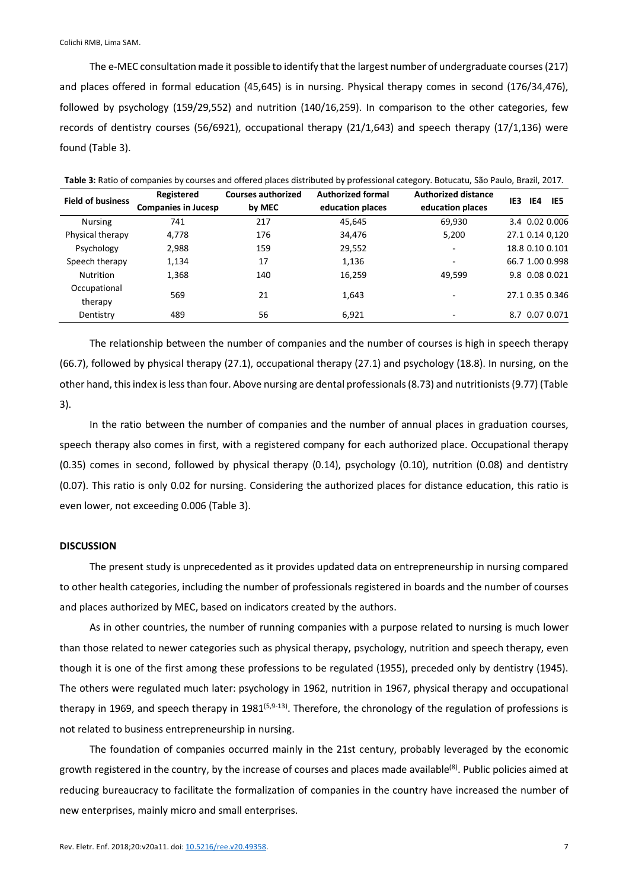The e-MEC consultation made it possible to identify that the largest number of undergraduate courses (217) and places offered in formal education (45,645) is in nursing. Physical therapy comes in second (176/34,476), followed by psychology (159/29,552) and nutrition (140/16,259). In comparison to the other categories, few records of dentistry courses (56/6921), occupational therapy (21/1,643) and speech therapy (17/1,136) were found (Table 3).

| Table 3: Ratio of companies by courses and offered places distributed by professional category. Botucatu, São Paulo, Brazil, 2017. |                            |                           |                          |                            |                   |  |  |  |  |
|------------------------------------------------------------------------------------------------------------------------------------|----------------------------|---------------------------|--------------------------|----------------------------|-------------------|--|--|--|--|
| <b>Field of business</b>                                                                                                           | Registered                 | <b>Courses authorized</b> | <b>Authorized formal</b> | <b>Authorized distance</b> | IE3<br>IE4<br>IE5 |  |  |  |  |
|                                                                                                                                    | <b>Companies in Jucesp</b> | by MEC                    | education places         | education places           |                   |  |  |  |  |
| <b>Nursing</b>                                                                                                                     | 741                        | 217                       | 45,645                   | 69,930                     | 3.4 0.02 0.006    |  |  |  |  |
| Physical therapy                                                                                                                   | 4.778                      | 176                       | 34.476                   | 5.200                      | 27.1 0.14 0,120   |  |  |  |  |
| Psychology                                                                                                                         | 2,988                      | 159                       | 29.552                   |                            | 18.8 0.10 0.101   |  |  |  |  |
| Speech therapy                                                                                                                     | 1,134                      | 17                        | 1,136                    | ۰                          | 66.7 1.00 0.998   |  |  |  |  |
| Nutrition                                                                                                                          | 1,368                      | 140                       | 16,259                   | 49,599                     | 9.8 0.08 0.021    |  |  |  |  |
| Occupational<br>therapy                                                                                                            | 569                        | 21                        | 1,643                    |                            | 27.1 0.35 0.346   |  |  |  |  |
| Dentistry                                                                                                                          | 489                        | 56                        | 6,921                    |                            | 8.7 0.07 0.071    |  |  |  |  |

The relationship between the number of companies and the number of courses is high in speech therapy (66.7), followed by physical therapy (27.1), occupational therapy (27.1) and psychology (18.8). In nursing, on the other hand, this index is less than four. Above nursing are dental professionals (8.73) and nutritionists (9.77) (Table 3).

In the ratio between the number of companies and the number of annual places in graduation courses, speech therapy also comes in first, with a registered company for each authorized place. Occupational therapy (0.35) comes in second, followed by physical therapy (0.14), psychology (0.10), nutrition (0.08) and dentistry (0.07). This ratio is only 0.02 for nursing. Considering the authorized places for distance education, this ratio is even lower, not exceeding 0.006 (Table 3).

# **DISCUSSION**

The present study is unprecedented as it provides updated data on entrepreneurship in nursing compared to other health categories, including the number of professionals registered in boards and the number of courses and places authorized by MEC, based on indicators created by the authors.

As in other countries, the number of running companies with a purpose related to nursing is much lower than those related to newer categories such as physical therapy, psychology, nutrition and speech therapy, even though it is one of the first among these professions to be regulated (1955), preceded only by dentistry (1945). The others were regulated much later: psychology in 1962, nutrition in 1967, physical therapy and occupational therapy in 1969, and speech therapy in 1981<sup> $(5,9-13)$ </sup>. Therefore, the chronology of the regulation of professions is not related to business entrepreneurship in nursing.

The foundation of companies occurred mainly in the 21st century, probably leveraged by the economic growth registered in the country, by the increase of courses and places made available<sup>(8)</sup>. Public policies aimed at reducing bureaucracy to facilitate the formalization of companies in the country have increased the number of new enterprises, mainly micro and small enterprises.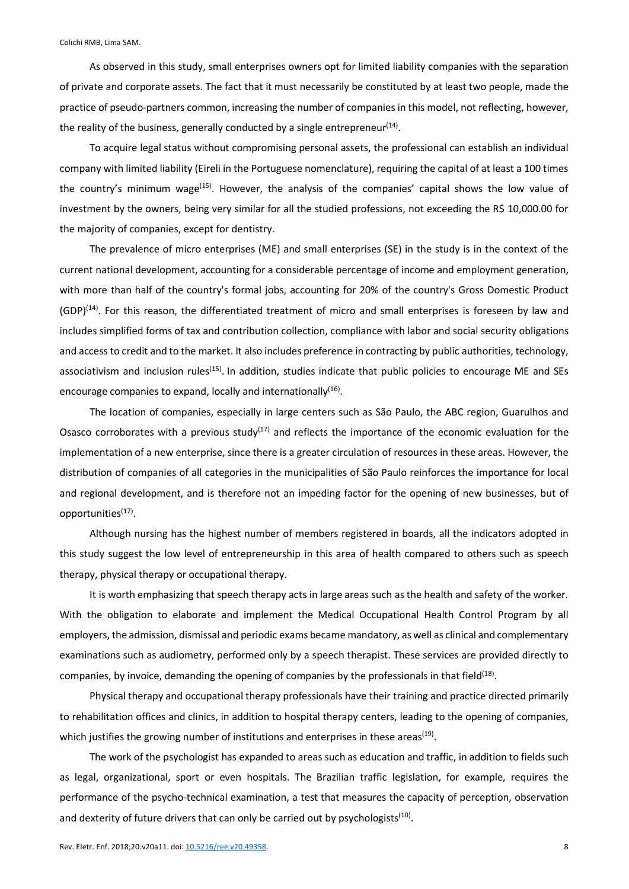As observed in this study, small enterprises owners opt for limited liability companies with the separation of private and corporate assets. The fact that it must necessarily be constituted by at least two people, made the practice of pseudo-partners common, increasing the number of companies in this model, not reflecting, however, the reality of the business, generally conducted by a single entrepreneur<sup>(14)</sup>.

To acquire legal status without compromising personal assets, the professional can establish an individual company with limited liability (Eireli in the Portuguese nomenclature), requiring the capital of at least a 100 times the country's minimum wage<sup>(15)</sup>. However, the analysis of the companies' capital shows the low value of investment by the owners, being very similar for all the studied professions, not exceeding the R\$ 10,000.00 for the majority of companies, except for dentistry.

The prevalence of micro enterprises (ME) and small enterprises (SE) in the study is in the context of the current national development, accounting for a considerable percentage of income and employment generation, with more than half of the country's formal jobs, accounting for 20% of the country's Gross Domestic Product  $(GDP)^{(14)}$ . For this reason, the differentiated treatment of micro and small enterprises is foreseen by law and includes simplified forms of tax and contribution collection, compliance with labor and social security obligations and access to credit and to the market. It also includes preference in contracting by public authorities, technology, associativism and inclusion rules<sup>(15)</sup>. In addition, studies indicate that public policies to encourage ME and SEs encourage companies to expand, locally and internationally $(16)$ .

The location of companies, especially in large centers such as São Paulo, the ABC region, Guarulhos and Osasco corroborates with a previous study<sup>(17)</sup> and reflects the importance of the economic evaluation for the implementation of a new enterprise, since there is a greater circulation of resources in these areas. However, the distribution of companies of all categories in the municipalities of São Paulo reinforces the importance for local and regional development, and is therefore not an impeding factor for the opening of new businesses, but of opportunities<sup>(17)</sup>.

Although nursing has the highest number of members registered in boards, all the indicators adopted in this study suggest the low level of entrepreneurship in this area of health compared to others such as speech therapy, physical therapy or occupational therapy.

It is worth emphasizing that speech therapy acts in large areas such as the health and safety of the worker. With the obligation to elaborate and implement the Medical Occupational Health Control Program by all employers, the admission, dismissal and periodic exams became mandatory, as well as clinical and complementary examinations such as audiometry, performed only by a speech therapist. These services are provided directly to companies, by invoice, demanding the opening of companies by the professionals in that field<sup>(18)</sup>.

Physical therapy and occupational therapy professionals have their training and practice directed primarily to rehabilitation offices and clinics, in addition to hospital therapy centers, leading to the opening of companies, which justifies the growing number of institutions and enterprises in these areas<sup>(19)</sup>.

The work of the psychologist has expanded to areas such as education and traffic, in addition to fields such as legal, organizational, sport or even hospitals. The Brazilian traffic legislation, for example, requires the performance of the psycho-technical examination, a test that measures the capacity of perception, observation and dexterity of future drivers that can only be carried out by psychologists $(10)$ .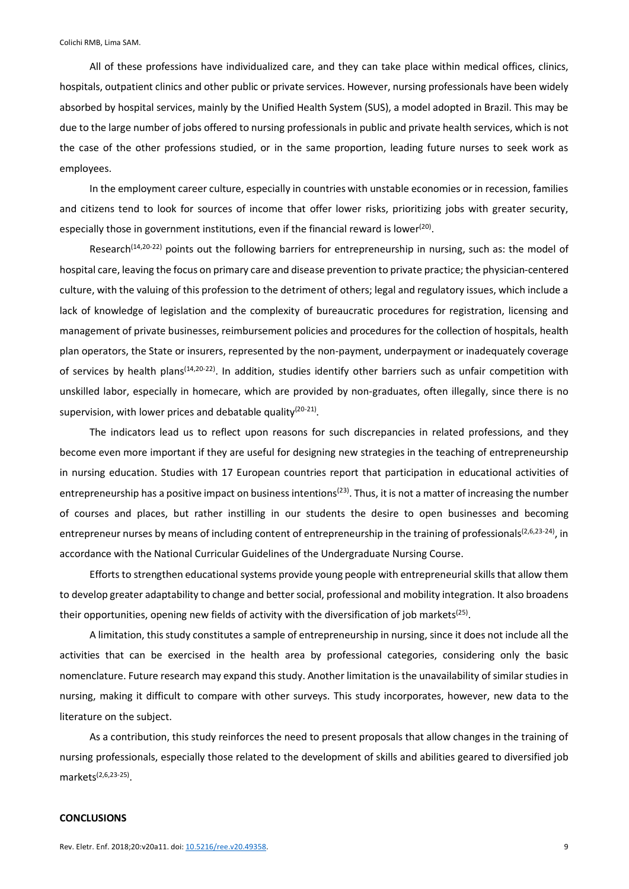All of these professions have individualized care, and they can take place within medical offices, clinics, hospitals, outpatient clinics and other public or private services. However, nursing professionals have been widely absorbed by hospital services, mainly by the Unified Health System (SUS), a model adopted in Brazil. This may be due to the large number of jobs offered to nursing professionals in public and private health services, which is not the case of the other professions studied, or in the same proportion, leading future nurses to seek work as employees.

In the employment career culture, especially in countries with unstable economies or in recession, families and citizens tend to look for sources of income that offer lower risks, prioritizing jobs with greater security, especially those in government institutions, even if the financial reward is lower<sup>(20)</sup>.

Research<sup>(14,20-22)</sup> points out the following barriers for entrepreneurship in nursing, such as: the model of hospital care, leaving the focus on primary care and disease prevention to private practice; the physician-centered culture, with the valuing of this profession to the detriment of others; legal and regulatory issues, which include a lack of knowledge of legislation and the complexity of bureaucratic procedures for registration, licensing and management of private businesses, reimbursement policies and procedures for the collection of hospitals, health plan operators, the State or insurers, represented by the non-payment, underpayment or inadequately coverage of services by health plans<sup>(14,20-22)</sup>. In addition, studies identify other barriers such as unfair competition with unskilled labor, especially in homecare, which are provided by non-graduates, often illegally, since there is no supervision, with lower prices and debatable quality $(20-21)$ .

The indicators lead us to reflect upon reasons for such discrepancies in related professions, and they become even more important if they are useful for designing new strategies in the teaching of entrepreneurship in nursing education. Studies with 17 European countries report that participation in educational activities of entrepreneurship has a positive impact on business intentions<sup>(23)</sup>. Thus, it is not a matter of increasing the number of courses and places, but rather instilling in our students the desire to open businesses and becoming entrepreneur nurses by means of including content of entrepreneurship in the training of professionals<sup>(2,6,23-24)</sup>, in accordance with the National Curricular Guidelines of the Undergraduate Nursing Course.

Efforts to strengthen educational systems provide young people with entrepreneurial skills that allow them to develop greater adaptability to change and better social, professional and mobility integration. It also broadens their opportunities, opening new fields of activity with the diversification of job markets<sup>(25)</sup>.

A limitation, this study constitutes a sample of entrepreneurship in nursing, since it does not include all the activities that can be exercised in the health area by professional categories, considering only the basic nomenclature. Future research may expand this study. Another limitation is the unavailability of similar studies in nursing, making it difficult to compare with other surveys. This study incorporates, however, new data to the literature on the subject.

As a contribution, this study reinforces the need to present proposals that allow changes in the training of nursing professionals, especially those related to the development of skills and abilities geared to diversified job markets<sup>(2,6,23-25)</sup>.

### **CONCLUSIONS**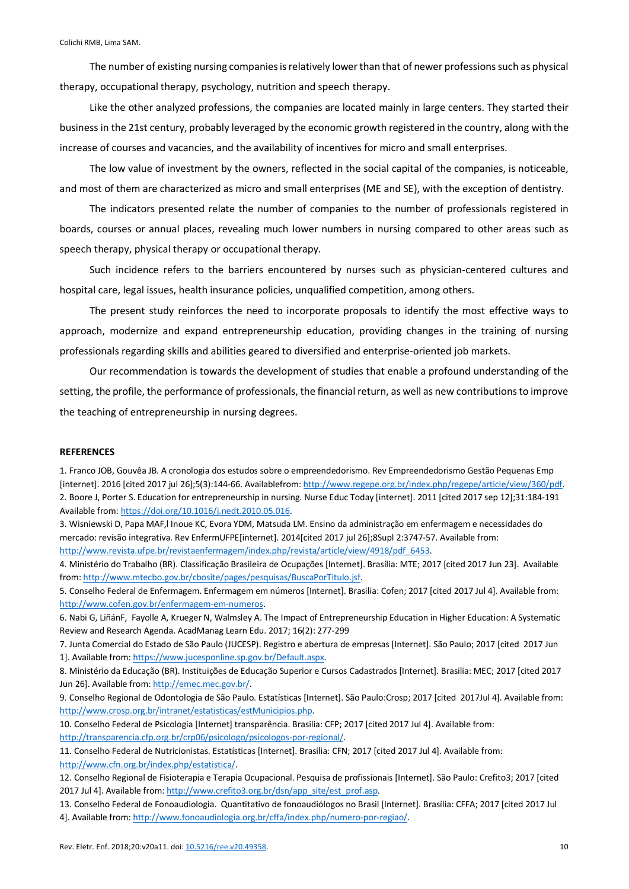The number of existing nursing companies is relatively lower than that of newer professions such as physical therapy, occupational therapy, psychology, nutrition and speech therapy.

Like the other analyzed professions, the companies are located mainly in large centers. They started their business in the 21st century, probably leveraged by the economic growth registered in the country, along with the increase of courses and vacancies, and the availability of incentives for micro and small enterprises.

The low value of investment by the owners, reflected in the social capital of the companies, is noticeable, and most of them are characterized as micro and small enterprises (ME and SE), with the exception of dentistry.

The indicators presented relate the number of companies to the number of professionals registered in boards, courses or annual places, revealing much lower numbers in nursing compared to other areas such as speech therapy, physical therapy or occupational therapy.

Such incidence refers to the barriers encountered by nurses such as physician-centered cultures and hospital care, legal issues, health insurance policies, unqualified competition, among others.

The present study reinforces the need to incorporate proposals to identify the most effective ways to approach, modernize and expand entrepreneurship education, providing changes in the training of nursing professionals regarding skills and abilities geared to diversified and enterprise-oriented job markets.

Our recommendation is towards the development of studies that enable a profound understanding of the setting, the profile, the performance of professionals, the financial return, as well as new contributions to improve the teaching of entrepreneurship in nursing degrees.

#### **REFERENCES**

1. Franco JOB, Gouvêa JB. A cronologia dos estudos sobre o empreendedorismo. Rev Empreendedorismo Gestão Pequenas Emp [internet]. 2016 [cited 2017 jul 26];5(3):144-66. Availablefrom: http://www.regepe.org.br/index.php/regepe/article/view/360/pdf. 2. Boore J, Porter S. Education for entrepreneurship in nursing. Nurse Educ Today [internet]. 2011 [cited 2017 sep 12];31:184-191 Available from: https://doi.org/10.1016/j.nedt.2010.05.016.

3. Wisniewski D, Papa MAF,l Inoue KC, Evora YDM, Matsuda LM. Ensino da administração em enfermagem e necessidades do mercado: revisão integrativa. Rev EnfermUFPE[internet]. 2014[cited 2017 jul 26];8Supl 2:3747-57. Available from: http://www.revista.ufpe.br/revistaenfermagem/index.php/revista/article/view/4918/pdf\_6453.

4. Ministério do Trabalho (BR). Classificação Brasileira de Ocupações [Internet]. Brasília: MTE; 2017 [cited 2017 Jun 23]. Available from: http://www.mtecbo.gov.br/cbosite/pages/pesquisas/BuscaPorTitulo.jsf.

5. Conselho Federal de Enfermagem. Enfermagem em números [Internet]. Brasilia: Cofen; 2017 [cited 2017 Jul 4]. Available from: http://www.cofen.gov.br/enfermagem-em-numeros.

6. Nabi G, LiñánF, Fayolle A, Krueger N, Walmsley A. The Impact of Entrepreneurship Education in Higher Education: A Systematic Review and Research Agenda. AcadManag Learn Edu. 2017; 16(2): 277-299

7. Junta Comercial do Estado de São Paulo (JUCESP). Registro e abertura de empresas [Internet]. São Paulo; 2017 [cited 2017 Jun 1]. Available from: https://www.jucesponline.sp.gov.br/Default.aspx.

8. Ministério da Educação (BR). Instituições de Educação Superior e Cursos Cadastrados [Internet]. Brasilia: MEC; 2017 [cited 2017 Jun 26]. Available from: http://emec.mec.gov.br/.

9. Conselho Regional de Odontologia de São Paulo. Estatísticas [Internet]. São Paulo:Crosp; 2017 [cited 2017Jul 4]. Available from: http://www.crosp.org.br/intranet/estatisticas/estMunicipios.php.

10. Conselho Federal de Psicologia [Internet] transparência. Brasilia: CFP; 2017 [cited 2017 Jul 4]. Available from:

http://transparencia.cfp.org.br/crp06/psicologo/psicologos-por-regional/.

11. Conselho Federal de Nutricionistas. Estatísticas [Internet]. Brasilia: CFN; 2017 [cited 2017 Jul 4]. Available from: http://www.cfn.org.br/index.php/estatistica/.

12. Conselho Regional de Fisioterapia e Terapia Ocupacional. Pesquisa de profissionais [Internet]. São Paulo: Crefito3; 2017 [cited 2017 Jul 4]. Available from: http://www.crefito3.org.br/dsn/app\_site/est\_prof.asp.

13. Conselho Federal de Fonoaudiologia. Quantitativo de fonoaudiólogos no Brasil [Internet]. Brasília: CFFA; 2017 [cited 2017 Jul 4]. Available from: http://www.fonoaudiologia.org.br/cffa/index.php/numero-por-regiao/.